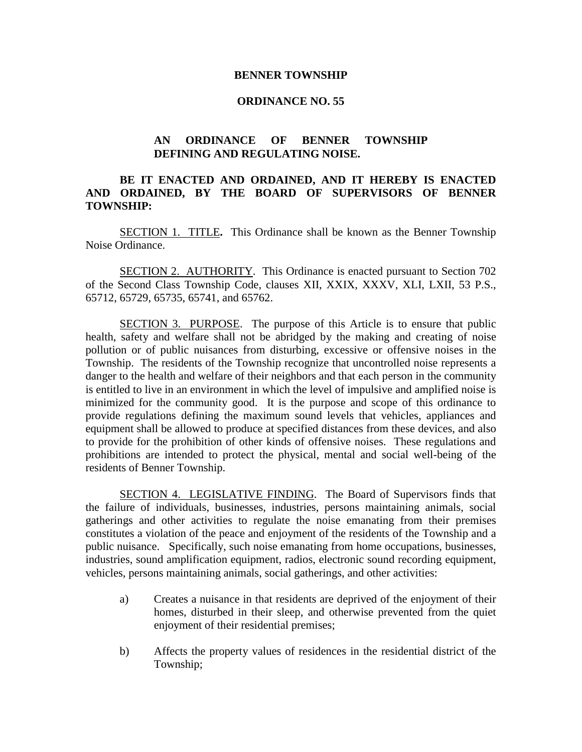## **BENNER TOWNSHIP**

## **ORDINANCE NO. 55**

## **AN ORDINANCE OF BENNER TOWNSHIP DEFINING AND REGULATING NOISE.**

## **BE IT ENACTED AND ORDAINED, AND IT HEREBY IS ENACTED AND ORDAINED, BY THE BOARD OF SUPERVISORS OF BENNER TOWNSHIP:**

SECTION 1. TITLE**.** This Ordinance shall be known as the Benner Township Noise Ordinance.

SECTION 2. AUTHORITY. This Ordinance is enacted pursuant to Section 702 of the Second Class Township Code, clauses XII, XXIX, XXXV, XLI, LXII, 53 P.S., 65712, 65729, 65735, 65741, and 65762.

SECTION 3. PURPOSE. The purpose of this Article is to ensure that public health, safety and welfare shall not be abridged by the making and creating of noise pollution or of public nuisances from disturbing, excessive or offensive noises in the Township. The residents of the Township recognize that uncontrolled noise represents a danger to the health and welfare of their neighbors and that each person in the community is entitled to live in an environment in which the level of impulsive and amplified noise is minimized for the community good. It is the purpose and scope of this ordinance to provide regulations defining the maximum sound levels that vehicles, appliances and equipment shall be allowed to produce at specified distances from these devices, and also to provide for the prohibition of other kinds of offensive noises. These regulations and prohibitions are intended to protect the physical, mental and social well-being of the residents of Benner Township.

SECTION 4. LEGISLATIVE FINDING. The Board of Supervisors finds that the failure of individuals, businesses, industries, persons maintaining animals, social gatherings and other activities to regulate the noise emanating from their premises constitutes a violation of the peace and enjoyment of the residents of the Township and a public nuisance. Specifically, such noise emanating from home occupations, businesses, industries, sound amplification equipment, radios, electronic sound recording equipment, vehicles, persons maintaining animals, social gatherings, and other activities:

- a) Creates a nuisance in that residents are deprived of the enjoyment of their homes, disturbed in their sleep, and otherwise prevented from the quiet enjoyment of their residential premises;
- b) Affects the property values of residences in the residential district of the Township;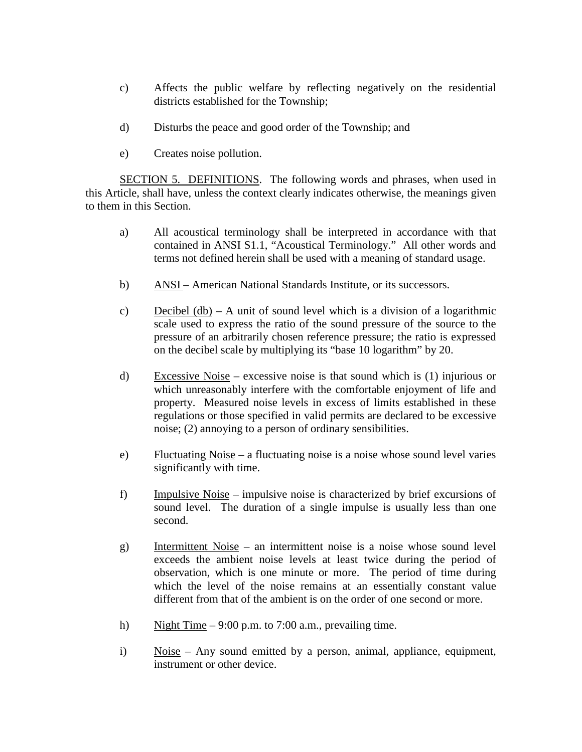- c) Affects the public welfare by reflecting negatively on the residential districts established for the Township;
- d) Disturbs the peace and good order of the Township; and
- e) Creates noise pollution.

SECTION 5. DEFINITIONS. The following words and phrases, when used in this Article, shall have, unless the context clearly indicates otherwise, the meanings given to them in this Section.

- a) All acoustical terminology shall be interpreted in accordance with that contained in ANSI S1.1, "Acoustical Terminology." All other words and terms not defined herein shall be used with a meaning of standard usage.
- b) ANSI American National Standards Institute, or its successors.
- c) Decibel  $(db) A$  unit of sound level which is a division of a logarithmic scale used to express the ratio of the sound pressure of the source to the pressure of an arbitrarily chosen reference pressure; the ratio is expressed on the decibel scale by multiplying its "base 10 logarithm" by 20.
- d) Excessive Noise excessive noise is that sound which is (1) injurious or which unreasonably interfere with the comfortable enjoyment of life and property. Measured noise levels in excess of limits established in these regulations or those specified in valid permits are declared to be excessive noise; (2) annoying to a person of ordinary sensibilities.
- e) Fluctuating Noise a fluctuating noise is a noise whose sound level varies significantly with time.
- f) Impulsive Noise impulsive noise is characterized by brief excursions of sound level. The duration of a single impulse is usually less than one second.
- g) Intermittent Noise an intermittent noise is a noise whose sound level exceeds the ambient noise levels at least twice during the period of observation, which is one minute or more. The period of time during which the level of the noise remains at an essentially constant value different from that of the ambient is on the order of one second or more.
- h) Night Time 9:00 p.m. to 7:00 a.m., prevailing time.
- i) Noise Any sound emitted by a person, animal, appliance, equipment, instrument or other device.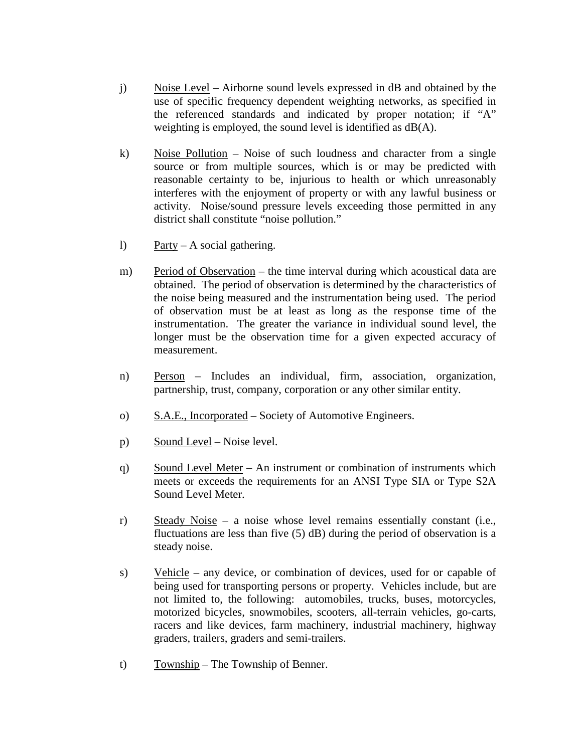- j) Noise Level Airborne sound levels expressed in dB and obtained by the use of specific frequency dependent weighting networks, as specified in the referenced standards and indicated by proper notation; if "A" weighting is employed, the sound level is identified as dB(A).
- k) Noise Pollution Noise of such loudness and character from a single source or from multiple sources, which is or may be predicted with reasonable certainty to be, injurious to health or which unreasonably interferes with the enjoyment of property or with any lawful business or activity. Noise/sound pressure levels exceeding those permitted in any district shall constitute "noise pollution."
- l) Party A social gathering.
- m) Period of Observation the time interval during which acoustical data are obtained. The period of observation is determined by the characteristics of the noise being measured and the instrumentation being used. The period of observation must be at least as long as the response time of the instrumentation. The greater the variance in individual sound level, the longer must be the observation time for a given expected accuracy of measurement.
- n) Person Includes an individual, firm, association, organization, partnership, trust, company, corporation or any other similar entity.
- o) S.A.E., Incorporated Society of Automotive Engineers.
- p) Sound Level Noise level.
- q) Sound Level Meter An instrument or combination of instruments which meets or exceeds the requirements for an ANSI Type SIA or Type S2A Sound Level Meter.
- r) Steady Noise a noise whose level remains essentially constant (i.e., fluctuations are less than five (5) dB) during the period of observation is a steady noise.
- s) Vehicle any device, or combination of devices, used for or capable of being used for transporting persons or property. Vehicles include, but are not limited to, the following: automobiles, trucks, buses, motorcycles, motorized bicycles, snowmobiles, scooters, all-terrain vehicles, go-carts, racers and like devices, farm machinery, industrial machinery, highway graders, trailers, graders and semi-trailers.
- t) Township The Township of Benner.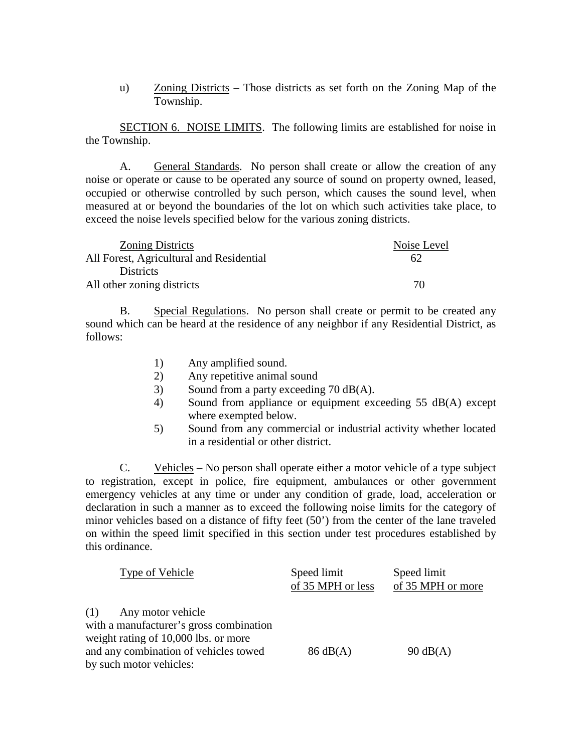u) Zoning Districts – Those districts as set forth on the Zoning Map of the Township.

SECTION 6. NOISE LIMITS. The following limits are established for noise in the Township.

A. General Standards. No person shall create or allow the creation of any noise or operate or cause to be operated any source of sound on property owned, leased, occupied or otherwise controlled by such person, which causes the sound level, when measured at or beyond the boundaries of the lot on which such activities take place, to exceed the noise levels specified below for the various zoning districts.

| <b>Zoning Districts</b>                  | Noise Level |
|------------------------------------------|-------------|
| All Forest, Agricultural and Residential | 62          |
| <b>Districts</b>                         |             |
| All other zoning districts               | 70          |

B. Special Regulations. No person shall create or permit to be created any sound which can be heard at the residence of any neighbor if any Residential District, as follows:

- 1) Any amplified sound.
- 2) Any repetitive animal sound
- 3) Sound from a party exceeding 70 dB(A).
- 4) Sound from appliance or equipment exceeding 55 dB(A) except where exempted below.
- 5) Sound from any commercial or industrial activity whether located in a residential or other district.

C. Vehicles – No person shall operate either a motor vehicle of a type subject to registration, except in police, fire equipment, ambulances or other government emergency vehicles at any time or under any condition of grade, load, acceleration or declaration in such a manner as to exceed the following noise limits for the category of minor vehicles based on a distance of fifty feet (50') from the center of the lane traveled on within the speed limit specified in this section under test procedures established by this ordinance.

| Type of Vehicle                                                    | Speed limit<br>of 35 MPH or less | Speed limit<br>of 35 MPH or more |
|--------------------------------------------------------------------|----------------------------------|----------------------------------|
| $(1)$ Any motor vehicle<br>with a manufacturer's gross combination |                                  |                                  |
| weight rating of 10,000 lbs. or more                               |                                  |                                  |
| and any combination of vehicles towed                              | $86 \text{ dB}(A)$               | $90 \text{ dB}(A)$               |
| by such motor vehicles:                                            |                                  |                                  |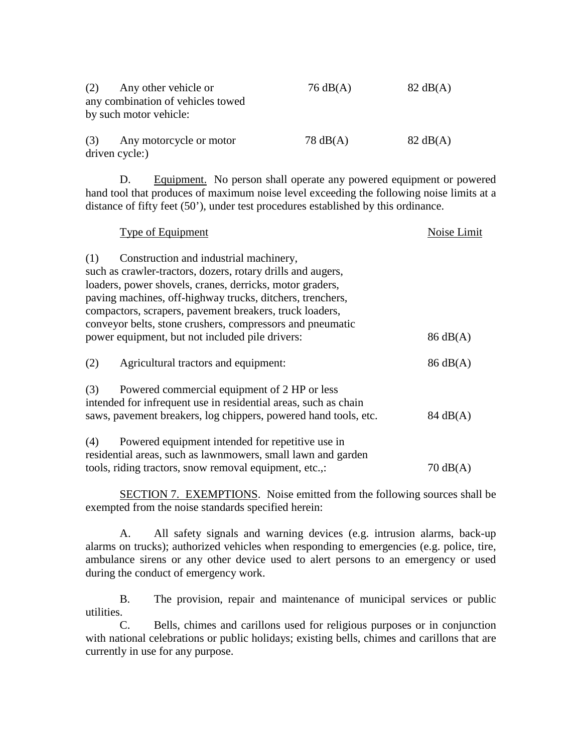| (2)<br>Any other vehicle or<br>any combination of vehicles towed<br>by such motor vehicle: | $76 \text{ dB}(A)$ | $82 \text{ dB}(A)$ |
|--------------------------------------------------------------------------------------------|--------------------|--------------------|
| Any motorcycle or motor<br>(3)<br>driven cycle:)                                           | $78 \text{ dB}(A)$ | $82 \text{ dB}(A)$ |

D. Equipment. No person shall operate any powered equipment or powered hand tool that produces of maximum noise level exceeding the following noise limits at a distance of fifty feet (50'), under test procedures established by this ordinance.

| Type of Equipment                                               | Noise Limit        |
|-----------------------------------------------------------------|--------------------|
| Construction and industrial machinery,<br>(1)                   |                    |
| such as crawler-tractors, dozers, rotary drills and augers,     |                    |
| loaders, power shovels, cranes, derricks, motor graders,        |                    |
| paving machines, off-highway trucks, ditchers, trenchers,       |                    |
| compactors, scrapers, pavement breakers, truck loaders,         |                    |
| conveyor belts, stone crushers, compressors and pneumatic       |                    |
| power equipment, but not included pile drivers:                 | $86 \text{ dB}(A)$ |
| (2)<br>Agricultural tractors and equipment:                     | $86 \text{ dB}(A)$ |
| Powered commercial equipment of 2 HP or less<br>(3)             |                    |
| intended for infrequent use in residential areas, such as chain |                    |
| saws, pavement breakers, log chippers, powered hand tools, etc. | $84 \text{ dB}(A)$ |
| Powered equipment intended for repetitive use in<br>(4)         |                    |
| residential areas, such as lawnmowers, small lawn and garden    |                    |
| tools, riding tractors, snow removal equipment, etc.,:          | $70 \text{ dB}(A)$ |

SECTION 7. EXEMPTIONS. Noise emitted from the following sources shall be exempted from the noise standards specified herein:

A. All safety signals and warning devices (e.g. intrusion alarms, back-up alarms on trucks); authorized vehicles when responding to emergencies (e.g. police, tire, ambulance sirens or any other device used to alert persons to an emergency or used during the conduct of emergency work.

B. The provision, repair and maintenance of municipal services or public utilities.

C. Bells, chimes and carillons used for religious purposes or in conjunction with national celebrations or public holidays; existing bells, chimes and carillons that are currently in use for any purpose.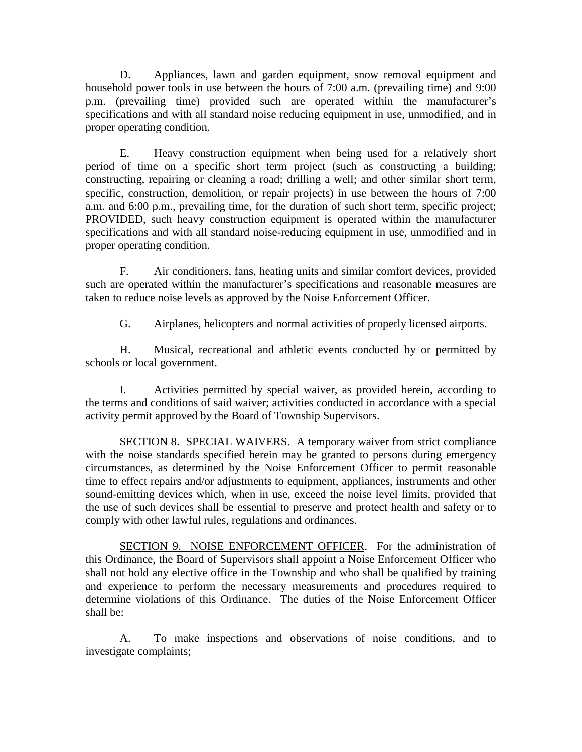D. Appliances, lawn and garden equipment, snow removal equipment and household power tools in use between the hours of 7:00 a.m. (prevailing time) and 9:00 p.m. (prevailing time) provided such are operated within the manufacturer's specifications and with all standard noise reducing equipment in use, unmodified, and in proper operating condition.

E. Heavy construction equipment when being used for a relatively short period of time on a specific short term project (such as constructing a building; constructing, repairing or cleaning a road; drilling a well; and other similar short term, specific, construction, demolition, or repair projects) in use between the hours of 7:00 a.m. and 6:00 p.m., prevailing time, for the duration of such short term, specific project; PROVIDED, such heavy construction equipment is operated within the manufacturer specifications and with all standard noise-reducing equipment in use, unmodified and in proper operating condition.

F. Air conditioners, fans, heating units and similar comfort devices, provided such are operated within the manufacturer's specifications and reasonable measures are taken to reduce noise levels as approved by the Noise Enforcement Officer.

G. Airplanes, helicopters and normal activities of properly licensed airports.

H. Musical, recreational and athletic events conducted by or permitted by schools or local government.

I. Activities permitted by special waiver, as provided herein, according to the terms and conditions of said waiver; activities conducted in accordance with a special activity permit approved by the Board of Township Supervisors.

SECTION 8. SPECIAL WAIVERS. A temporary waiver from strict compliance with the noise standards specified herein may be granted to persons during emergency circumstances, as determined by the Noise Enforcement Officer to permit reasonable time to effect repairs and/or adjustments to equipment, appliances, instruments and other sound-emitting devices which, when in use, exceed the noise level limits, provided that the use of such devices shall be essential to preserve and protect health and safety or to comply with other lawful rules, regulations and ordinances.

SECTION 9. NOISE ENFORCEMENT OFFICER. For the administration of this Ordinance, the Board of Supervisors shall appoint a Noise Enforcement Officer who shall not hold any elective office in the Township and who shall be qualified by training and experience to perform the necessary measurements and procedures required to determine violations of this Ordinance. The duties of the Noise Enforcement Officer shall be:

A. To make inspections and observations of noise conditions, and to investigate complaints;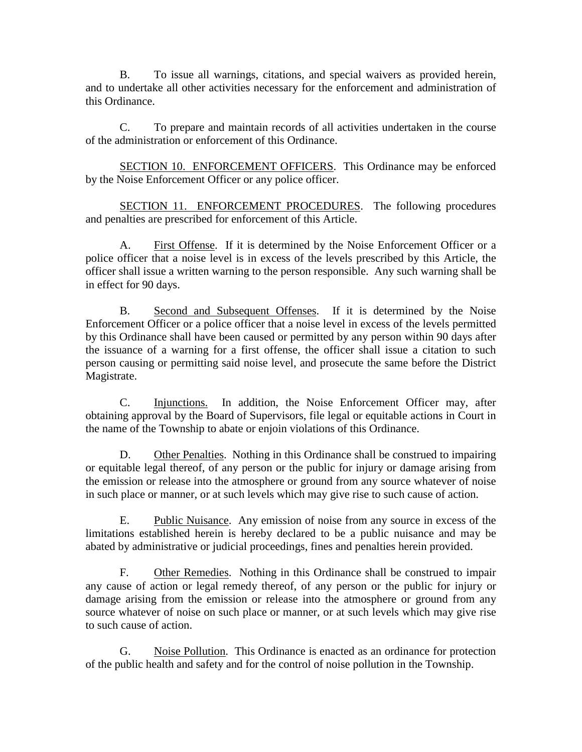B. To issue all warnings, citations, and special waivers as provided herein, and to undertake all other activities necessary for the enforcement and administration of this Ordinance.

C. To prepare and maintain records of all activities undertaken in the course of the administration or enforcement of this Ordinance.

SECTION 10. ENFORCEMENT OFFICERS. This Ordinance may be enforced by the Noise Enforcement Officer or any police officer.

SECTION 11. ENFORCEMENT PROCEDURES. The following procedures and penalties are prescribed for enforcement of this Article.

A. First Offense. If it is determined by the Noise Enforcement Officer or a police officer that a noise level is in excess of the levels prescribed by this Article, the officer shall issue a written warning to the person responsible. Any such warning shall be in effect for 90 days.

B. Second and Subsequent Offenses. If it is determined by the Noise Enforcement Officer or a police officer that a noise level in excess of the levels permitted by this Ordinance shall have been caused or permitted by any person within 90 days after the issuance of a warning for a first offense, the officer shall issue a citation to such person causing or permitting said noise level, and prosecute the same before the District Magistrate.

C. Injunctions. In addition, the Noise Enforcement Officer may, after obtaining approval by the Board of Supervisors, file legal or equitable actions in Court in the name of the Township to abate or enjoin violations of this Ordinance.

D. Other Penalties. Nothing in this Ordinance shall be construed to impairing or equitable legal thereof, of any person or the public for injury or damage arising from the emission or release into the atmosphere or ground from any source whatever of noise in such place or manner, or at such levels which may give rise to such cause of action.

E. Public Nuisance. Any emission of noise from any source in excess of the limitations established herein is hereby declared to be a public nuisance and may be abated by administrative or judicial proceedings, fines and penalties herein provided.

F. Other Remedies. Nothing in this Ordinance shall be construed to impair any cause of action or legal remedy thereof, of any person or the public for injury or damage arising from the emission or release into the atmosphere or ground from any source whatever of noise on such place or manner, or at such levels which may give rise to such cause of action.

G. Noise Pollution. This Ordinance is enacted as an ordinance for protection of the public health and safety and for the control of noise pollution in the Township.